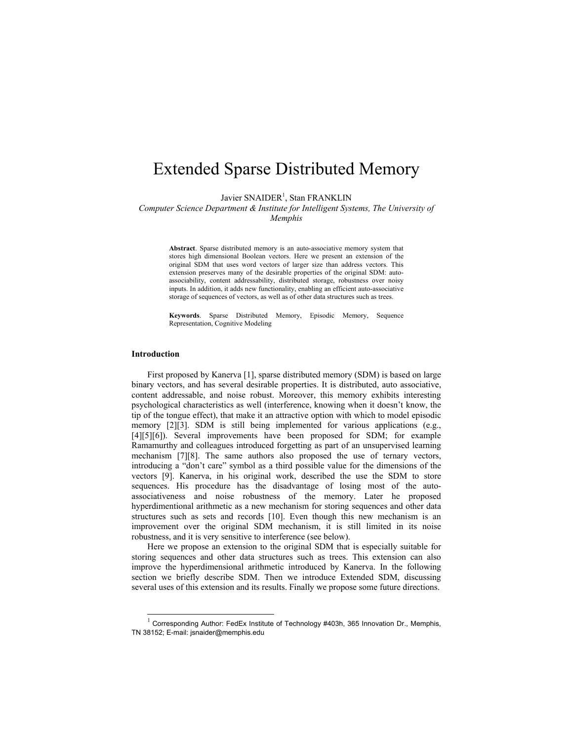# Extended Sparse Distributed Memory

Javier SNAIDER<sup>1</sup>, Stan FRANKLIN

*Computer Science Department & Institute for Intelligent Systems, The University of Memphis* 

**Abstract**. Sparse distributed memory is an auto-associative memory system that stores high dimensional Boolean vectors. Here we present an extension of the original SDM that uses word vectors of larger size than address vectors. This extension preserves many of the desirable properties of the original SDM: autoassociability, content addressability, distributed storage, robustness over noisy inputs. In addition, it adds new functionality, enabling an efficient auto-associative storage of sequences of vectors, as well as of other data structures such as trees.

**Keywords**. Sparse Distributed Memory, Episodic Memory, Sequence Representation, Cognitive Modeling

### **Introduction**

1

First proposed by Kanerva [1], sparse distributed memory (SDM) is based on large binary vectors, and has several desirable properties. It is distributed, auto associative, content addressable, and noise robust. Moreover, this memory exhibits interesting psychological characteristics as well (interference, knowing when it doesn't know, the tip of the tongue effect), that make it an attractive option with which to model episodic memory [2][3]. SDM is still being implemented for various applications (e.g., [4][5][6]). Several improvements have been proposed for SDM; for example Ramamurthy and colleagues introduced forgetting as part of an unsupervised learning mechanism [7][8]. The same authors also proposed the use of ternary vectors, introducing a "don't care" symbol as a third possible value for the dimensions of the vectors [9]. Kanerva, in his original work, described the use the SDM to store sequences. His procedure has the disadvantage of losing most of the autoassociativeness and noise robustness of the memory. Later he proposed hyperdimentional arithmetic as a new mechanism for storing sequences and other data structures such as sets and records [10]. Even though this new mechanism is an improvement over the original SDM mechanism, it is still limited in its noise robustness, and it is very sensitive to interference (see below).

Here we propose an extension to the original SDM that is especially suitable for storing sequences and other data structures such as trees. This extension can also improve the hyperdimensional arithmetic introduced by Kanerva. In the following section we briefly describe SDM. Then we introduce Extended SDM, discussing several uses of this extension and its results. Finally we propose some future directions.

 $1$  Corresponding Author: FedEx Institute of Technology #403h, 365 Innovation Dr., Memphis, TN 38152; E-mail: jsnaider@memphis.edu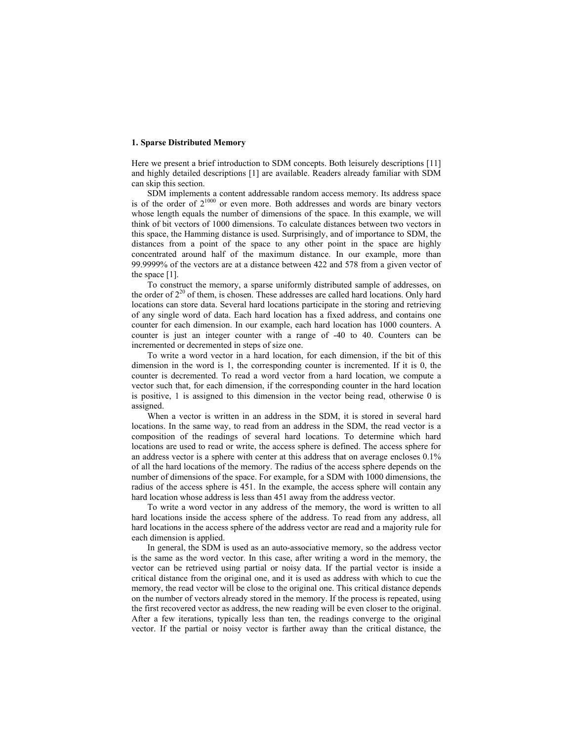#### **1. Sparse Distributed Memory**

Here we present a brief introduction to SDM concepts. Both leisurely descriptions [11] and highly detailed descriptions [1] are available. Readers already familiar with SDM can skip this section.

SDM implements a content addressable random access memory. Its address space is of the order of  $2^{1000}$  or even more. Both addresses and words are binary vectors whose length equals the number of dimensions of the space. In this example, we will think of bit vectors of 1000 dimensions. To calculate distances between two vectors in this space, the Hamming distance is used. Surprisingly, and of importance to SDM, the distances from a point of the space to any other point in the space are highly concentrated around half of the maximum distance. In our example, more than 99.9999% of the vectors are at a distance between 422 and 578 from a given vector of the space [1].

To construct the memory, a sparse uniformly distributed sample of addresses, on the order of  $2^{20}$  of them, is chosen. These addresses are called hard locations. Only hard locations can store data. Several hard locations participate in the storing and retrieving of any single word of data. Each hard location has a fixed address, and contains one counter for each dimension. In our example, each hard location has 1000 counters. A counter is just an integer counter with a range of -40 to 40. Counters can be incremented or decremented in steps of size one.

To write a word vector in a hard location, for each dimension, if the bit of this dimension in the word is 1, the corresponding counter is incremented. If it is 0, the counter is decremented. To read a word vector from a hard location, we compute a vector such that, for each dimension, if the corresponding counter in the hard location is positive, 1 is assigned to this dimension in the vector being read, otherwise 0 is assigned.

When a vector is written in an address in the SDM, it is stored in several hard locations. In the same way, to read from an address in the SDM, the read vector is a composition of the readings of several hard locations. To determine which hard locations are used to read or write, the access sphere is defined. The access sphere for an address vector is a sphere with center at this address that on average encloses 0.1% of all the hard locations of the memory. The radius of the access sphere depends on the number of dimensions of the space. For example, for a SDM with 1000 dimensions, the radius of the access sphere is 451. In the example, the access sphere will contain any hard location whose address is less than 451 away from the address vector.

To write a word vector in any address of the memory, the word is written to all hard locations inside the access sphere of the address. To read from any address, all hard locations in the access sphere of the address vector are read and a majority rule for each dimension is applied.

In general, the SDM is used as an auto-associative memory, so the address vector is the same as the word vector. In this case, after writing a word in the memory, the vector can be retrieved using partial or noisy data. If the partial vector is inside a critical distance from the original one, and it is used as address with which to cue the memory, the read vector will be close to the original one. This critical distance depends on the number of vectors already stored in the memory. If the process is repeated, using the first recovered vector as address, the new reading will be even closer to the original. After a few iterations, typically less than ten, the readings converge to the original vector. If the partial or noisy vector is farther away than the critical distance, the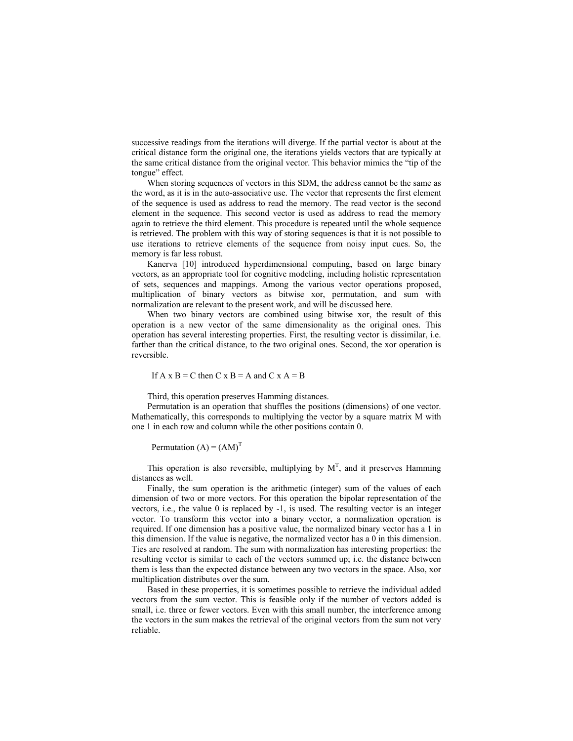successive readings from the iterations will diverge. If the partial vector is about at the critical distance form the original one, the iterations yields vectors that are typically at the same critical distance from the original vector. This behavior mimics the "tip of the tongue" effect.

When storing sequences of vectors in this SDM, the address cannot be the same as the word, as it is in the auto-associative use. The vector that represents the first element of the sequence is used as address to read the memory. The read vector is the second element in the sequence. This second vector is used as address to read the memory again to retrieve the third element. This procedure is repeated until the whole sequence is retrieved. The problem with this way of storing sequences is that it is not possible to use iterations to retrieve elements of the sequence from noisy input cues. So, the memory is far less robust.

Kanerva [10] introduced hyperdimensional computing, based on large binary vectors, as an appropriate tool for cognitive modeling, including holistic representation of sets, sequences and mappings. Among the various vector operations proposed, multiplication of binary vectors as bitwise xor, permutation, and sum with normalization are relevant to the present work, and will be discussed here.

When two binary vectors are combined using bitwise xor, the result of this operation is a new vector of the same dimensionality as the original ones. This operation has several interesting properties. First, the resulting vector is dissimilar, i.e. farther than the critical distance, to the two original ones. Second, the xor operation is reversible.

If A x B = C then C x B = A and C x A = B

Third, this operation preserves Hamming distances.

Permutation is an operation that shuffles the positions (dimensions) of one vector. Mathematically, this corresponds to multiplying the vector by a square matrix M with one 1 in each row and column while the other positions contain 0.

Permutation (A) = 
$$
(AM)^T
$$

This operation is also reversible, multiplying by  $M<sup>T</sup>$ , and it preserves Hamming distances as well.

Finally, the sum operation is the arithmetic (integer) sum of the values of each dimension of two or more vectors. For this operation the bipolar representation of the vectors, i.e., the value 0 is replaced by -1, is used. The resulting vector is an integer vector. To transform this vector into a binary vector, a normalization operation is required. If one dimension has a positive value, the normalized binary vector has a 1 in this dimension. If the value is negative, the normalized vector has a 0 in this dimension. Ties are resolved at random. The sum with normalization has interesting properties: the resulting vector is similar to each of the vectors summed up; i.e. the distance between them is less than the expected distance between any two vectors in the space. Also, xor multiplication distributes over the sum.

Based in these properties, it is sometimes possible to retrieve the individual added vectors from the sum vector. This is feasible only if the number of vectors added is small, i.e. three or fewer vectors. Even with this small number, the interference among the vectors in the sum makes the retrieval of the original vectors from the sum not very reliable.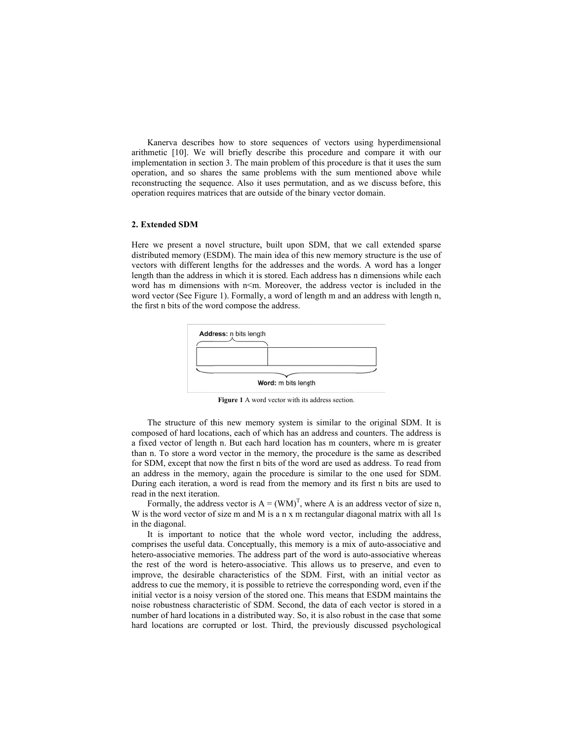Kanerva describes how to store sequences of vectors using hyperdimensional arithmetic [10]. We will briefly describe this procedure and compare it with our implementation in section 3. The main problem of this procedure is that it uses the sum operation, and so shares the same problems with the sum mentioned above while reconstructing the sequence. Also it uses permutation, and as we discuss before, this operation requires matrices that are outside of the binary vector domain.

#### **2. Extend ded SDM**

Here we present a novel structure, built upon SDM, that we call extended sparse distributed memory (ESDM). The main idea of this new memory structure is the use of vectors with different lengths for the addresses and the words. A word has a longer length than the address in which it is stored. Each address has n dimensions while each word has m dimensions with n<m. Moreover, the address vector is included in the word vector (See Figure 1). Formally, a word of length m and an address with length n, the first n bits of the word compose the address.



Figure 1 A word vector with its address section.

The structure of this new memory system is similar to the original SDM. It is composed of hard locations, each of which has an address and counters. The address is a fixed vector of length n. But each hard location has m counters, where m is greater than n. To store a word vector in the memory, the procedure is the same as described for SDM, except that now the first n bits of the word are used as address. To read from an addres s in the mem mory, again th he procedure is similar to the one used for SDM. During each iteration, a word is read from the memory and its first n bits are used to read in the next iteration.

Formally, the address vector is  $A = (WM)^T$ , where A is an address vector of size n, W is the word vector of size m and M is a n x m rectangular diagonal matrix with all 1s in the diag gonal.

It is important to notice that the whole word vector, including the address, comprises the useful data. Conceptually, this memory is a mix of auto-associative and hetero-associative memories. The address part of the word is auto-associative whereas the rest of the word is hetero-associative. This allows us to preserve, and even to improve, the desirable characteristics of the SDM. First, with an initial vector as address to cue the memory, it is possible to retrieve the corresponding word, even if the initial vector is a noisy version of the stored one. This means that ESDM maintains the noise robustness characteristic of SDM. Second, the data of each vector is stored in a number of hard locations in a distributed way. So, it is also robust in the case that some hard locations are corrupted or lost. Third, the previously discussed psychological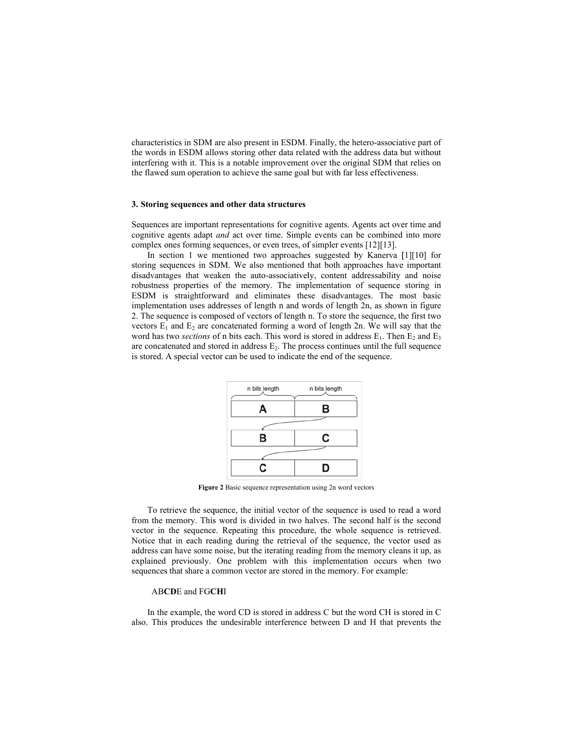characteristics in SDM are also present in ESDM. Finally, the hetero-associative part of the words in ESDM allows storing other data related with the address data but without interfering with it. This is a notable improvement over the original SDM that relies on the flawed sum operation to achieve the same goal but with far less effectiveness.

#### **3. Storing sequences and other data structures**

Sequences are important representations for cognitive agents. Agents act over time and cognitive agents adapt *and* act over time. Simple events can be combined into more complex ones forming sequences, or even trees, of simpler events  $[12][13]$ .

In section 1 we mentioned two approaches suggested by Kanerva [1][10] for storing sequences in SDM. We also mentioned that both approaches have important disadvantages that weaken the auto-associatively, content addressability and noise robustness properties of the memory. The implementation of sequence storing in ESDM is straightforward and eliminates these disadvantages. The most basic implementation uses addresses of length n and words of length 2n, as shown in figure 2. The sequence is composed of vectors of length n. To store the sequence, the first two vectors  $E_1$  and  $E_2$  are concatenated forming a word of length 2n. We will say that the word has two *sections* of n bits each. This word is stored in address  $E_1$ . Then  $E_2$  and  $E_3$ are concatenated and stored in address  $E_2$ . The process continues until the full sequence is stored. A special vector can be used to indicate the end of the sequence.



Figure 2 Basic sequence representation using 2n word vectors

To retrieve the sequence, the initial vector of the sequence is used to read a word from the memory. This word is divided in two halves. The second half is the second vector in the sequence. Repeating this procedure, the whole sequence is retrieved. Notice that in each reading during the retrieval of the sequence, the vector used as address can have some noise, but the iterating reading from the memory cleans it up, as explained previously. One problem with this implementation occurs when two sequences that share a common vector are stored in the memory. For example:

#### AB**C CD**E and FG**C CH**I

In the example, the word CD is stored in address C but the word CH is stored in C also. This produces the undesirable interference between D and H that prevents the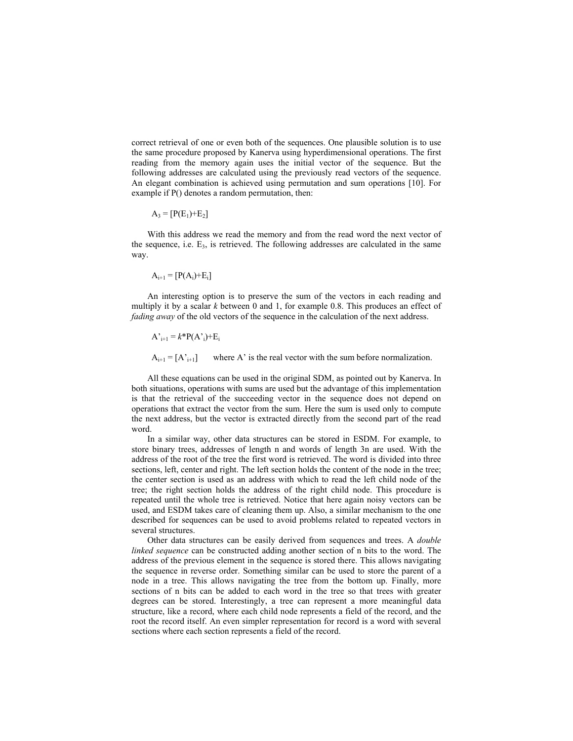correct retrieval of one or even both of the sequences. One plausible solution is to use the same procedure proposed by Kanerva using hyperdimensional operations. The first reading from the memory again uses the initial vector of the sequence. But the following addresses are calculated using the previously read vectors of the sequence. An elegant combination is achieved using permutation and sum operations [10]. For example if P() denotes a random permutation, then:

$$
A_3 = [P(E_1) + E_2]
$$

With this address we read the memory and from the read word the next vector of the sequence, i.e.  $E_3$ , is retrieved. The following addresses are calculated in the same way.

$$
A_{i+1} = [P(A_i) + E_i]
$$

An interesting option is to preserve the sum of the vectors in each reading and multiply it by a scalar *k* between 0 and 1, for example 0.8. This produces an effect of *fading away* of the old vectors of the sequence in the calculation of the next address.

 $A'_{i+1} = k^*P(A'_{i}) + E_i$ 

 $A_{i+1} = [A'_{i+1}]$  where A' is the real vector with the sum before normalization.

All these equations can be used in the original SDM, as pointed out by Kanerva. In both situations, operations with sums are used but the advantage of this implementation is that the retrieval of the succeeding vector in the sequence does not depend on operations that extract the vector from the sum. Here the sum is used only to compute the next address, but the vector is extracted directly from the second part of the read word.

In a similar way, other data structures can be stored in ESDM. For example, to store binary trees, addresses of length n and words of length 3n are used. With the address of the root of the tree the first word is retrieved. The word is divided into three sections, left, center and right. The left section holds the content of the node in the tree; the center section is used as an address with which to read the left child node of the tree; the right section holds the address of the right child node. This procedure is repeated until the whole tree is retrieved. Notice that here again noisy vectors can be used, and ESDM takes care of cleaning them up. Also, a similar mechanism to the one described for sequences can be used to avoid problems related to repeated vectors in several structures.

Other data structures can be easily derived from sequences and trees. A *double linked sequence* can be constructed adding another section of n bits to the word. The address of the previous element in the sequence is stored there. This allows navigating the sequence in reverse order. Something similar can be used to store the parent of a node in a tree. This allows navigating the tree from the bottom up. Finally, more sections of n bits can be added to each word in the tree so that trees with greater degrees can be stored. Interestingly, a tree can represent a more meaningful data structure, like a record, where each child node represents a field of the record, and the root the record itself. An even simpler representation for record is a word with several sections where each section represents a field of the record.